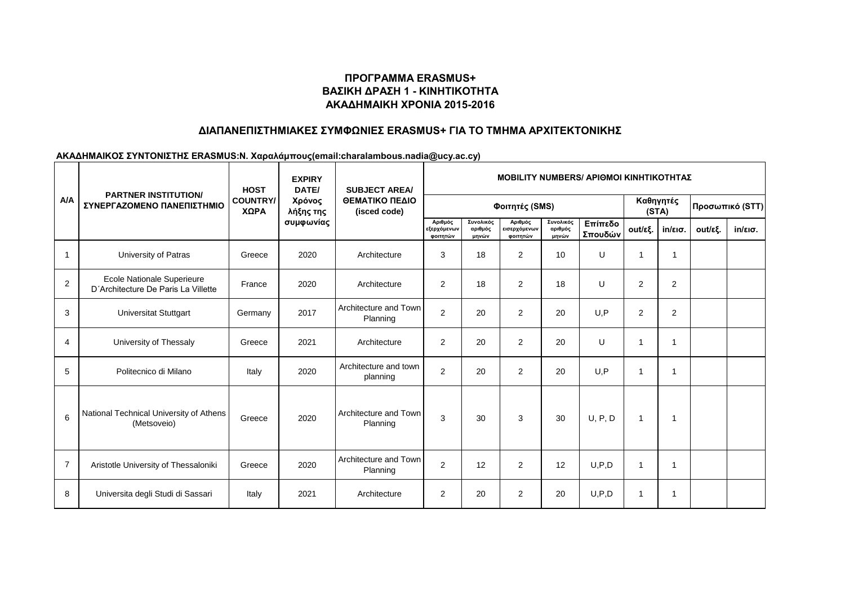# **ΠΡΟΓΡΑΜΜΑ ERASMUS+ ΒΑΣΙΚΗ ΔΡΑΣΗ 1 - ΚΙΝΗΤΙΚΟΤΗΤΑ ΑΚΑΔΗΜΑΙΚΗ ΧΡΟΝΙΑ 2015-2016**

## **ΔΙΑΠΑΝΕΠΙΣΤΗΜΙΑΚΕΣ ΣΥΜΦΩΝΙΕΣ ERASMUS+ ΓΙΑ ΤΟ ΤΜΗΜΑ ΑΡΧΙΤΕΚΤΟΝΙΚΗΣ**

#### **ΑΚΑΔΗΜΑΙΚΟΣ ΣΥΝΤΟΝΙΣΤΗΣ ERASMUS:Ν. Χαραλάμπους(email:charalambous.nadia@ucy.ac.cy)**

| A/A            | <b>PARTNER INSTITUTION/</b><br>ΣΥΝΕΡΓΑΖΟΜΕΝΟ ΠΑΝΕΠΙΣΤΗΜΙΟ         | <b>HOST</b><br><b>COUNTRY/</b><br>ΧΩΡΑ | <b>EXPIRY</b><br>DATE/<br>Χρόνος<br>λήξης της<br>συμφωνίας | <b>SUBJECT AREA/</b><br>ΘΕΜΑΤΙΚΟ ΠΕΔΙΟ<br>(isced code) | <b>MOBILITY NUMBERS/ APIOMOI KINHTIKOTHTAZ</b> |                               |                                     |                               |                    |                    |                   |                 |                   |  |
|----------------|-------------------------------------------------------------------|----------------------------------------|------------------------------------------------------------|--------------------------------------------------------|------------------------------------------------|-------------------------------|-------------------------------------|-------------------------------|--------------------|--------------------|-------------------|-----------------|-------------------|--|
|                |                                                                   |                                        |                                                            |                                                        | Φοιτητές (SMS)                                 |                               |                                     |                               |                    | Καθηγητές<br>(STA) |                   | Προσωπικό (STT) |                   |  |
|                |                                                                   |                                        |                                                            |                                                        | Αριθμός<br>εξερχόμενων<br>φοιτητών             | Συνολικός<br>αριθμός<br>μηνών | Αριθμός<br>εισερχόμενων<br>φοιτητών | Συνολικός<br>αριθμός<br>μηνών | Επίπεδο<br>Σπουδών | out/εξ.            | $in/\epsilon$ ισ. | out/εξ.         | $in/\epsilon$ ισ. |  |
| $\mathbf{1}$   | University of Patras                                              | Greece                                 | 2020                                                       | Architecture                                           | 3                                              | 18                            | $\overline{2}$                      | 10                            | U                  | $\mathbf 1$        | 1                 |                 |                   |  |
| $\overline{2}$ | Ecole Nationale Superieure<br>D'Architecture De Paris La Villette | France                                 | 2020                                                       | Architecture                                           | $\overline{2}$                                 | 18                            | $\overline{2}$                      | 18                            | U                  | $\overline{2}$     | $\overline{2}$    |                 |                   |  |
| 3              | <b>Universitat Stuttgart</b>                                      | Germany                                | 2017                                                       | Architecture and Town<br>Planning                      | 2                                              | 20                            | $\overline{2}$                      | 20                            | U.P                | 2                  | 2                 |                 |                   |  |
| $\overline{4}$ | University of Thessaly                                            | Greece                                 | 2021                                                       | Architecture                                           | $\overline{2}$                                 | 20                            | 2                                   | 20                            | U                  | 1                  | 1                 |                 |                   |  |
| 5              | Politecnico di Milano                                             | Italy                                  | 2020                                                       | Architecture and town<br>planning                      | $\overline{2}$                                 | 20                            | $\overline{2}$                      | 20                            | U.P                | $\mathbf 1$        | 1                 |                 |                   |  |
| 6              | National Technical University of Athens<br>(Metsoveio)            | Greece                                 | 2020                                                       | Architecture and Town<br>Planning                      | 3                                              | 30                            | 3                                   | 30                            | U, P, D            | $\mathbf 1$        |                   |                 |                   |  |
| $\overline{7}$ | Aristotle University of Thessaloniki                              | Greece                                 | 2020                                                       | Architecture and Town<br>Planning                      | 2                                              | 12                            | 2                                   | 12                            | U, P, D            | 1                  | 1                 |                 |                   |  |
| 8              | Universita degli Studi di Sassari                                 | Italy                                  | 2021                                                       | Architecture                                           | $\overline{2}$                                 | 20                            | $\overline{2}$                      | 20                            | U, P, D            | $\overline{1}$     | 1                 |                 |                   |  |